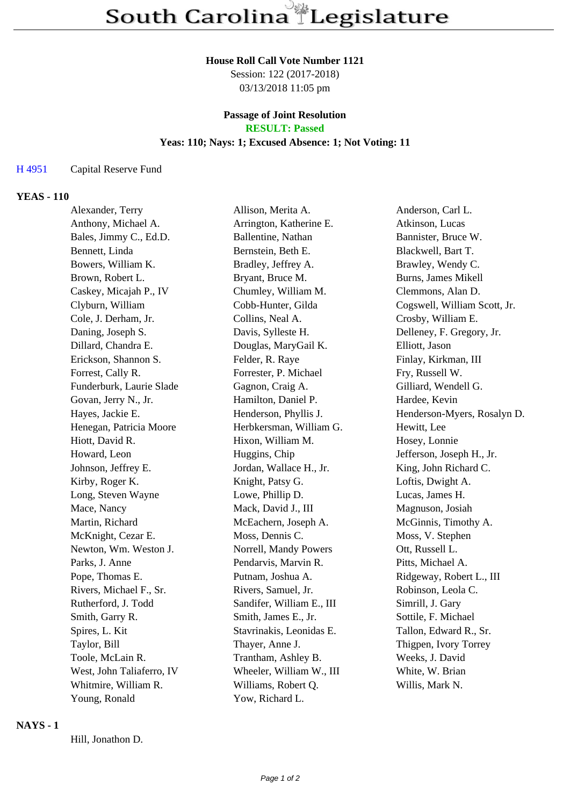#### **House Roll Call Vote Number 1121**

Session: 122 (2017-2018) 03/13/2018 11:05 pm

# **Passage of Joint Resolution**

**RESULT: Passed**

## **Yeas: 110; Nays: 1; Excused Absence: 1; Not Voting: 11**

#### H 4951 Capital Reserve Fund

### **YEAS - 110**

| Alexander, Terry          | Allison, Merita A.        | Anderson, Carl L.            |
|---------------------------|---------------------------|------------------------------|
| Anthony, Michael A.       | Arrington, Katherine E.   | Atkinson, Lucas              |
| Bales, Jimmy C., Ed.D.    | Ballentine, Nathan        | Bannister, Bruce W.          |
| Bennett, Linda            | Bernstein, Beth E.        | Blackwell, Bart T.           |
| Bowers, William K.        | Bradley, Jeffrey A.       | Brawley, Wendy C.            |
| Brown, Robert L.          | Bryant, Bruce M.          | <b>Burns, James Mikell</b>   |
| Caskey, Micajah P., IV    | Chumley, William M.       | Clemmons, Alan D.            |
| Clyburn, William          | Cobb-Hunter, Gilda        | Cogswell, William Scott, Jr. |
| Cole, J. Derham, Jr.      | Collins, Neal A.          | Crosby, William E.           |
| Daning, Joseph S.         | Davis, Sylleste H.        | Delleney, F. Gregory, Jr.    |
| Dillard, Chandra E.       | Douglas, MaryGail K.      | Elliott, Jason               |
| Erickson, Shannon S.      | Felder, R. Raye           | Finlay, Kirkman, III         |
| Forrest, Cally R.         | Forrester, P. Michael     | Fry, Russell W.              |
| Funderburk, Laurie Slade  | Gagnon, Craig A.          | Gilliard, Wendell G.         |
| Govan, Jerry N., Jr.      | Hamilton, Daniel P.       | Hardee, Kevin                |
| Hayes, Jackie E.          | Henderson, Phyllis J.     | Henderson-Myers, Rosalyn D.  |
| Henegan, Patricia Moore   | Herbkersman, William G.   | Hewitt, Lee                  |
| Hiott, David R.           | Hixon, William M.         | Hosey, Lonnie                |
| Howard, Leon              | Huggins, Chip             | Jefferson, Joseph H., Jr.    |
| Johnson, Jeffrey E.       | Jordan, Wallace H., Jr.   | King, John Richard C.        |
| Kirby, Roger K.           | Knight, Patsy G.          | Loftis, Dwight A.            |
| Long, Steven Wayne        | Lowe, Phillip D.          | Lucas, James H.              |
| Mace, Nancy               | Mack, David J., III       | Magnuson, Josiah             |
| Martin, Richard           | McEachern, Joseph A.      | McGinnis, Timothy A.         |
| McKnight, Cezar E.        | Moss, Dennis C.           | Moss, V. Stephen             |
| Newton, Wm. Weston J.     | Norrell, Mandy Powers     | Ott, Russell L.              |
| Parks, J. Anne            | Pendarvis, Marvin R.      | Pitts, Michael A.            |
| Pope, Thomas E.           | Putnam, Joshua A.         | Ridgeway, Robert L., III     |
| Rivers, Michael F., Sr.   | Rivers, Samuel, Jr.       | Robinson, Leola C.           |
| Rutherford, J. Todd       | Sandifer, William E., III | Simrill, J. Gary             |
| Smith, Garry R.           | Smith, James E., Jr.      | Sottile, F. Michael          |
| Spires, L. Kit            | Stavrinakis, Leonidas E.  | Tallon, Edward R., Sr.       |
| Taylor, Bill              | Thayer, Anne J.           | Thigpen, Ivory Torrey        |
| Toole, McLain R.          | Trantham, Ashley B.       | Weeks, J. David              |
| West, John Taliaferro, IV | Wheeler, William W., III  | White, W. Brian              |
| Whitmire, William R.      | Williams, Robert Q.       | Willis, Mark N.              |
| Young, Ronald             | Yow, Richard L.           |                              |

#### **NAYS - 1**

Hill, Jonathon D.